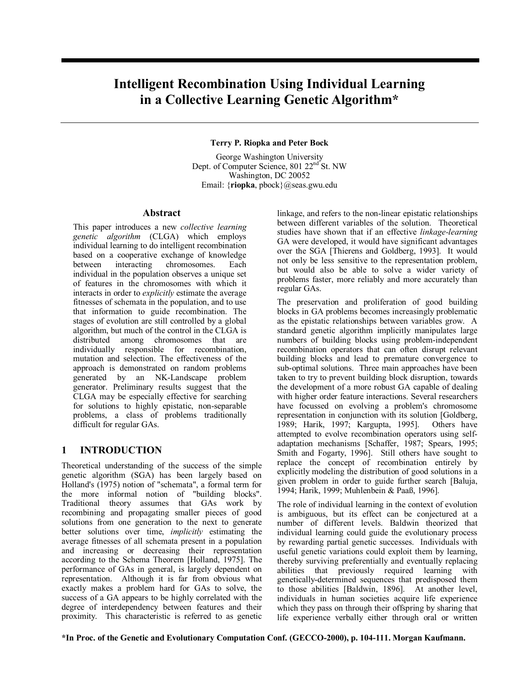# **Intelligent Recombination Using Individual Learning in a Collective Learning Genetic Algorithm\***

### **Terry P. Riopka and Peter Bock**

George Washington University Dept. of Computer Science, 801 22<sup>nd</sup> St. NW Washington, DC 20052 Email: {**riopka**, pbock}@seas.gwu.edu

### **Abstract**

This paper introduces a new *collective learning genetic algorithm* (CLGA) which employs individual learning to do intelligent recombination based on a cooperative exchange of knowledge between interacting chromosomes. Each individual in the population observes a unique set of features in the chromosomes with which it interacts in order to *explicitly* estimate the average fitnesses of schemata in the population, and to use that information to guide recombination. The stages of evolution are still controlled by a global algorithm, but much of the control in the CLGA is distributed among chromosomes that are individually responsible for recombination, mutation and selection. The effectiveness of the approach is demonstrated on random problems generated by an NK-Landscape problem generator. Preliminary results suggest that the CLGA may be especially effective for searching for solutions to highly epistatic, non-separable problems, a class of problems traditionally difficult for regular GAs.

## **1 INTRODUCTION**

Theoretical understanding of the success of the simple genetic algorithm (SGA) has been largely based on Holland's (1975) notion of "schemata", a formal term for the more informal notion of "building blocks". Traditional theory assumes that GAs work by recombining and propagating smaller pieces of good solutions from one generation to the next to generate better solutions over time, *implicitly* estimating the average fitnesses of all schemata present in a population and increasing or decreasing their representation according to the Schema Theorem [Holland, 1975]. The performance of GAs in general, is largely dependent on representation. Although it is far from obvious what exactly makes a problem hard for GAs to solve, the success of a GA appears to be highly correlated with the degree of interdependency between features and their proximity. This characteristic is referred to as genetic

linkage, and refers to the non-linear epistatic relationships between different variables of the solution. Theoretical studies have shown that if an effective *linkage-learning* GA were developed, it would have significant advantages over the SGA [Thierens and Goldberg, 1993]. It would not only be less sensitive to the representation problem, but would also be able to solve a wider variety of problems faster, more reliably and more accurately than regular GAs.

The preservation and proliferation of good building blocks in GA problems becomes increasingly problematic as the epistatic relationships between variables grow. A standard genetic algorithm implicitly manipulates large numbers of building blocks using problem-independent recombination operators that can often disrupt relevant building blocks and lead to premature convergence to sub-optimal solutions. Three main approaches have been taken to try to prevent building block disruption, towards the development of a more robust GA capable of dealing with higher order feature interactions. Several researchers have focussed on evolving a problem's chromosome representation in conjunction with its solution [Goldberg, 1989; Harik, 1997; Kargupta, 1995]. Others have attempted to evolve recombination operators using selfadaptation mechanisms [Schaffer, 1987; Spears, 1995; Smith and Fogarty, 1996]. Still others have sought to replace the concept of recombination entirely by explicitly modeling the distribution of good solutions in a given problem in order to guide further search [Baluja, 1994; Harik, 1999; Muhlenbein & Paaß, 1996].

The role of individual learning in the context of evolution is ambiguous, but its effect can be conjectured at a number of different levels. Baldwin theorized that individual learning could guide the evolutionary process by rewarding partial genetic successes. Individuals with useful genetic variations could exploit them by learning, thereby surviving preferentially and eventually replacing abilities that previously required learning with genetically-determined sequences that predisposed them to those abilities [Baldwin, 1896]. At another level, individuals in human societies acquire life experience which they pass on through their offspring by sharing that life experience verbally either through oral or written

**\*In Proc. of the Genetic and Evolutionary Computation Conf. (GECCO-2000), p. 104-111. Morgan Kaufmann.**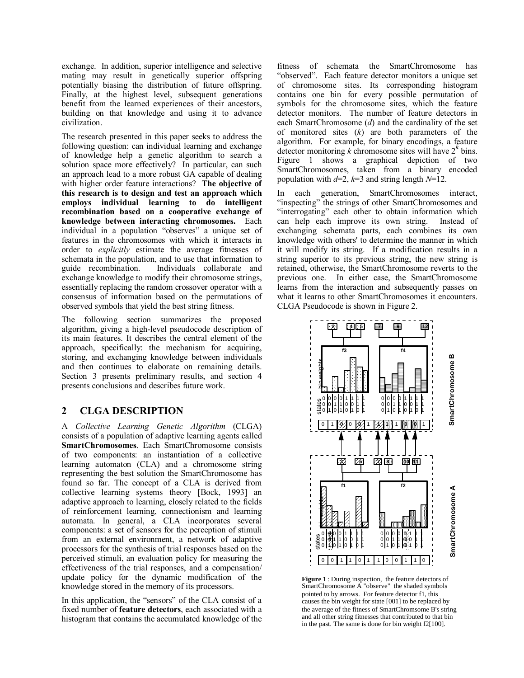exchange. In addition, superior intelligence and selective mating may result in genetically superior offspring potentially biasing the distribution of future offspring. Finally, at the highest level, subsequent generations benefit from the learned experiences of their ancestors, building on that knowledge and using it to advance civilization.

The research presented in this paper seeks to address the following question: can individual learning and exchange of knowledge help a genetic algorithm to search a solution space more effectively? In particular, can such an approach lead to a more robust GA capable of dealing with higher order feature interactions? **The objective of this research is to design and test an approach which employs individual learning to do intelligent recombination based on a cooperative exchange of knowledge between interacting chromosomes.** Each individual in a population "observes" a unique set of features in the chromosomes with which it interacts in order to *explicitly* estimate the average fitnesses of schemata in the population, and to use that information to guide recombination. Individuals collaborate and exchange knowledge to modify their chromosome strings, essentially replacing the random crossover operator with a consensus of information based on the permutations of observed symbols that yield the best string fitness.

The following section summarizes the proposed algorithm, giving a high-level pseudocode description of its main features. It describes the central element of the approach, specifically: the mechanism for acquiring, storing, and exchanging knowledge between individuals and then continues to elaborate on remaining details. Section 3 presents preliminary results, and section 4 presents conclusions and describes future work.

## **2 CLGA DESCRIPTION**

A *Collective Learning Genetic Algorithm* (CLGA) consists of a population of adaptive learning agents called **SmartChromosomes**. Each SmartChromosome consists of two components: an instantiation of a collective learning automaton (CLA) and a chromosome string representing the best solution the SmartChromosome has found so far. The concept of a CLA is derived from collective learning systems theory [Bock, 1993] an adaptive approach to learning, closely related to the fields of reinforcement learning, connectionism and learning automata. In general, a CLA incorporates several components: a set of sensors for the perception of stimuli from an external environment, a network of adaptive processors for the synthesis of trial responses based on the perceived stimuli, an evaluation policy for measuring the effectiveness of the trial responses, and a compensation/ update policy for the dynamic modification of the knowledge stored in the memory of its processors.

In this application, the "sensors" of the CLA consist of a fixed number of **feature detectors**, each associated with a histogram that contains the accumulated knowledge of the

fitness of schemata the SmartChromosome has "observed". Each feature detector monitors a unique set of chromosome sites. Its corresponding histogram contains one bin for every possible permutation of symbols for the chromosome sites, which the feature detector monitors. The number of feature detectors in each SmartChromosome (*d*) and the cardinality of the set of monitored sites (*k*) are both parameters of the algorithm. For example, for binary encodings, a feature detector monitoring  $k$  chromosome sites will have  $2^k$  bins. Figure 1 shows a graphical depiction of two SmartChromosomes, taken from a binary encoded population with  $d=2$ ,  $k=3$  and string length  $N=12$ .

In each generation, SmartChromosomes interact, "inspecting" the strings of other SmartChromosomes and "interrogating" each other to obtain information which can help each improve its own string. Instead of exchanging schemata parts, each combines its own knowledge with others' to determine the manner in which it will modify its string. If a modification results in a string superior to its previous string, the new string is retained, otherwise, the SmartChromosome reverts to the previous one. In either case, the SmartChromosome learns from the interaction and subsequently passes on what it learns to other SmartChromosomes it encounters. CLGA Pseudocode is shown in Figure 2.



**Figure 1** : During inspection, the feature detectors of SmartChromosome A "observe" the shaded symbols pointed to by arrows. For feature detector f1, this causes the bin weight for state [001] to be replaced by the average of the fitness of SmartChromsome B's string and all other string fitnesses that contributed to that bin<br>in the past. The same is done for bin weight f2[100].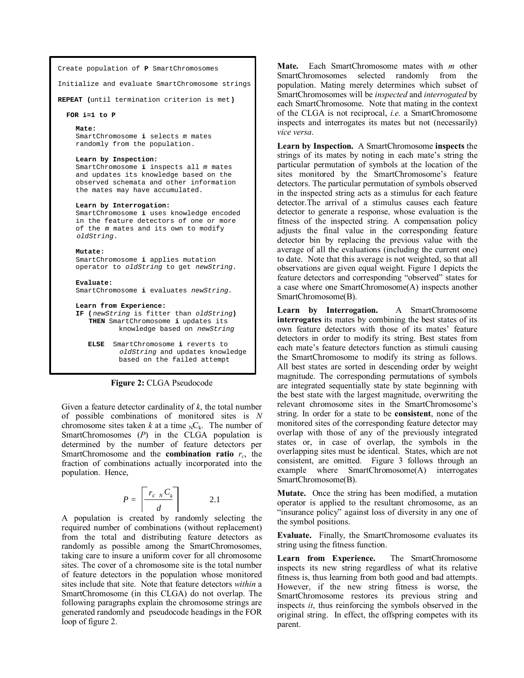```
Create population of P SmartChromosomes
```
Initialize and evaluate SmartChromosome strings

**REPEAT (**until termination criterion is met**)**

**FOR i=1 to P** 

#### **Mate:**

SmartChromosome **i** selects m mates randomly from the population.

#### **Learn by Inspection:**

SmartChromosome **i** inspects all m mates and updates its knowledge based on the observed schemata and other information the mates may have accumulated.

#### **Learn by Interrogation:**

SmartChromosome **i** uses knowledge encoded in the feature detectors of one or more of the m mates and its own to modify oldString.

#### **Mutate:**

SmartChromosome **i** applies mutation operator to oldString to get newString.

#### **Evaluate:**

SmartChromosome **i** evaluates newString.

**Learn from Experience:**

**IF (**newString is fitter than oldString**) THEN** SmartChromosome **i** updates its knowledge based on newString

 **ELSE** SmartChromosome **i** reverts to oldString and updates knowledge based on the failed attempt

**Figure 2:** CLGA Pseudocode

Given a feature detector cardinality of *k*, the total number of possible combinations of monitored sites is *N* chromosome sites taken *k* at a time  ${}_{N}C_{k}$ . The number of SmartChromosomes (*P*) in the CLGA population is determined by the number of feature detectors per SmartChromosome and the **combination ratio**  $r_c$ , the fraction of combinations actually incorporated into the population. Hence,

$$
P = \left\lceil \frac{r_{c \ N} C_k}{d} \right\rceil \qquad \qquad 2.1
$$

A population is created by randomly selecting the required number of combinations (without replacement) from the total and distributing feature detectors as randomly as possible among the SmartChromosomes, taking care to insure a uniform cover for all chromosome sites. The cover of a chromosome site is the total number of feature detectors in the population whose monitored sites include that site. Note that feature detectors *within* a SmartChromosome (in this CLGA) do not overlap. The following paragraphs explain the chromosome strings are generated randomly and pseudocode headings in the FOR loop of figure 2.

**Mate.** Each SmartChromosome mates with *m* other SmartChromosomes selected randomly from the population. Mating merely determines which subset of SmartChromosomes will be *inspected* and *interrogated* by each SmartChromosome. Note that mating in the context of the CLGA is not reciprocal, *i.e.* a SmartChromosome inspects and interrogates its mates but not (necessarily) *vice versa*.

**Learn by Inspection.** A SmartChromosome **inspects** the strings of its mates by noting in each mate's string the particular permutation of symbols at the location of the sites monitored by the SmartChromosome's feature detectors. The particular permutation of symbols observed in the inspected string acts as a stimulus for each feature detector.The arrival of a stimulus causes each feature detector to generate a response, whose evaluation is the fitness of the inspected string. A compensation policy adjusts the final value in the corresponding feature detector bin by replacing the previous value with the average of all the evaluations (including the current one) to date. Note that this average is not weighted, so that all observations are given equal weight. Figure 1 depicts the feature detectors and corresponding "observed" states for a case where one SmartChromosome(A) inspects another SmartChromosome(B).

Learn by Interrogation. A SmartChromosome **interrogates** its mates by combining the best states of its own feature detectors with those of its mates' feature detectors in order to modify its string. Best states from each mate's feature detectors function as stimuli causing the SmartChromosome to modify its string as follows. All best states are sorted in descending order by weight magnitude. The corresponding permutations of symbols are integrated sequentially state by state beginning with the best state with the largest magnitude, overwriting the relevant chromosome sites in the SmartChromosome's string. In order for a state to be **consistent**, none of the monitored sites of the corresponding feature detector may overlap with those of any of the previously integrated states or, in case of overlap, the symbols in the overlapping sites must be identical. States, which are not consistent, are omitted. Figure 3 follows through an example where SmartChromosome(A) interrogates SmartChromosome(B).

**Mutate.** Once the string has been modified, a mutation operator is applied to the resultant chromosome, as an "insurance policy" against loss of diversity in any one of the symbol positions.

**Evaluate.** Finally, the SmartChromosome evaluates its string using the fitness function.

**Learn from Experience.** The SmartChromosome inspects its new string regardless of what its relative fitness is, thus learning from both good and bad attempts. However, if the new string fitness is worse, the SmartChromosome restores its previous string and inspects *it*, thus reinforcing the symbols observed in the original string. In effect, the offspring competes with its parent.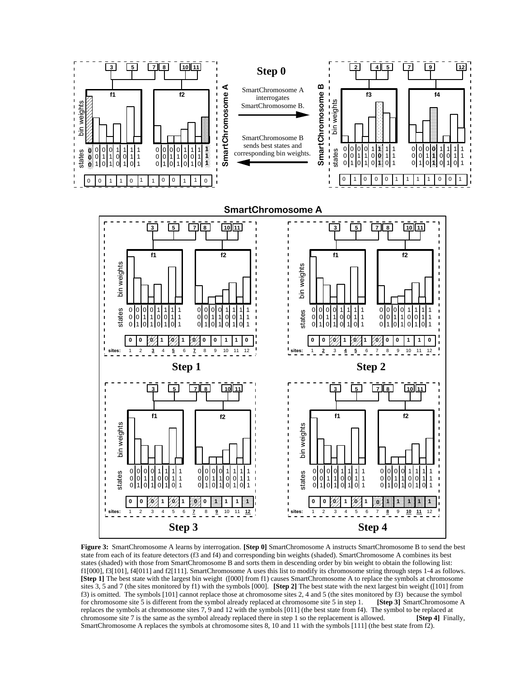

**Figure 3:** SmartChromosome A learns by interrogation. **[Step 0]** SmartChromosome A instructs SmartChromosome B to send the best state from each of its feature detectors (f3 and f4) and corresponding bin weights (shaded). SmartChromosome A combines its best states (shaded) with those from SmartChromosome B and sorts them in descending order by bin weight to obtain the following list: f1[000], f3[101], f4[011] and f2[111]. SmartChromosome A uses this list to modify its chromosome string through steps 1-4 as follows. **[Step 1]** The best state with the largest bin weight ([000] from f1) causes SmartChromosome A to replace the symbols at chromosome sites 3, 5 and 7 (the sites monitored by f1) with the symbols [000]. **[Step 2]** The best state with the next largest bin weight ([101] from f3) is omitted. The symbols [101] cannot replace those at chromosome sites 2, 4 and 5 (the sites monitored by f3) because the symbol for chromosome site 5 is different from the symbol already replaced at chromosome site 5 for chromosome site 5 is different from the symbol already replaced at chromosome site 5 in step 1. replaces the symbols at chromosome sites 7, 9 and 12 with the symbols [011] (the best state from f4). The symbol to be replaced at chromosome site 7 is the same as the symbol already replaced there in step 1 so the replac chromosome site 7 is the same as the symbol already replaced there in step 1 so the replacement is allowed. SmartChromosome A replaces the symbols at chromosome sites 8, 10 and 11 with the symbols [111] (the best state from f2).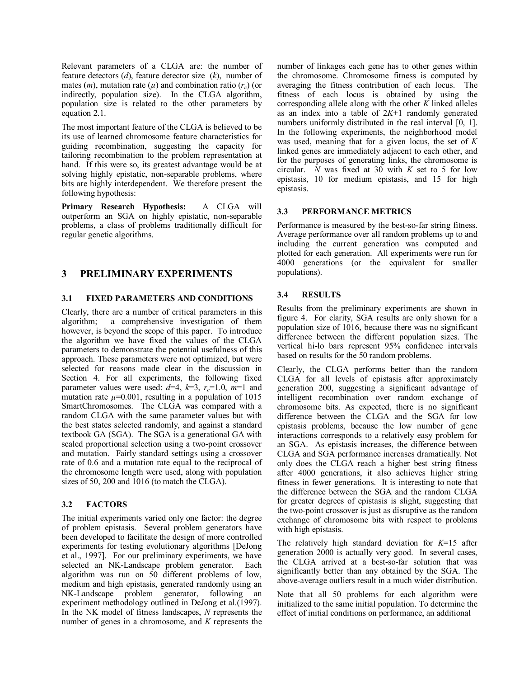Relevant parameters of a CLGA are: the number of feature detectors (*d*), feature detector size (*k*), number of mates  $(m)$ , mutation rate  $(\mu)$  and combination ratio  $(r_c)$  (or indirectly, population size). In the CLGA algorithm, population size is related to the other parameters by equation 2.1.

The most important feature of the CLGA is believed to be its use of learned chromosome feature characteristics for guiding recombination, suggesting the capacity for tailoring recombination to the problem representation at hand. If this were so, its greatest advantage would be at solving highly epistatic, non-separable problems, where bits are highly interdependent. We therefore present the following hypothesis:

**Primary Research Hypothesis:** A CLGA will outperform an SGA on highly epistatic, non-separable problems, a class of problems traditionally difficult for regular genetic algorithms.

## **3 PRELIMINARY EXPERIMENTS**

## **3.1 FIXED PARAMETERS AND CONDITIONS**

Clearly, there are a number of critical parameters in this algorithm; a comprehensive investigation of them however, is beyond the scope of this paper. To introduce the algorithm we have fixed the values of the CLGA parameters to demonstrate the potential usefulness of this approach. These parameters were not optimized, but were selected for reasons made clear in the discussion in Section 4. For all experiments, the following fixed parameter values were used:  $d=4$ ,  $k=3$ ,  $r_c=1.0$ ,  $m=1$  and mutation rate  $\mu$ =0.001, resulting in a population of 1015 SmartChromosomes. The CLGA was compared with a random CLGA with the same parameter values but with the best states selected randomly, and against a standard textbook GA (SGA). The SGA is a generational GA with scaled proportional selection using a two-point crossover and mutation. Fairly standard settings using a crossover rate of 0.6 and a mutation rate equal to the reciprocal of the chromosome length were used, along with population sizes of 50, 200 and 1016 (to match the CLGA).

## **3.2 FACTORS**

The initial experiments varied only one factor: the degree of problem epistasis. Several problem generators have been developed to facilitate the design of more controlled experiments for testing evolutionary algorithms [DeJong et al., 1997]. For our preliminary experiments, we have selected an NK-Landscape problem generator. Each algorithm was run on 50 different problems of low, medium and high epistasis, generated randomly using an NK-Landscape problem generator, following an experiment methodology outlined in DeJong et al.(1997). In the NK model of fitness landscapes, *N* represents the number of genes in a chromosome, and *K* represents the

number of linkages each gene has to other genes within the chromosome. Chromosome fitness is computed by averaging the fitness contribution of each locus. The fitness of each locus is obtained by using the corresponding allele along with the other *K* linked alleles as an index into a table of 2*K*+1 randomly generated numbers uniformly distributed in the real interval [0, 1]. In the following experiments, the neighborhood model was used, meaning that for a given locus, the set of *K* linked genes are immediately adjacent to each other, and for the purposes of generating links, the chromosome is circular. *N* was fixed at 30 with *K* set to 5 for low epistasis, 10 for medium epistasis, and 15 for high epistasis.

## **3.3 PERFORMANCE METRICS**

Performance is measured by the best-so-far string fitness. Average performance over all random problems up to and including the current generation was computed and plotted for each generation. All experiments were run for 4000 generations (or the equivalent for smaller populations).

## **3.4 RESULTS**

Results from the preliminary experiments are shown in figure 4. For clarity, SGA results are only shown for a population size of 1016, because there was no significant difference between the different population sizes. The vertical hi-lo bars represent 95% confidence intervals based on results for the 50 random problems.

Clearly, the CLGA performs better than the random CLGA for all levels of epistasis after approximately generation 200, suggesting a significant advantage of intelligent recombination over random exchange of chromosome bits. As expected, there is no significant difference between the CLGA and the SGA for low epistasis problems, because the low number of gene interactions corresponds to a relatively easy problem for an SGA. As epistasis increases, the difference between CLGA and SGA performance increases dramatically. Not only does the CLGA reach a higher best string fitness after 4000 generations, it also achieves higher string fitness in fewer generations. It is interesting to note that the difference between the SGA and the random CLGA for greater degrees of epistasis is slight, suggesting that the two-point crossover is just as disruptive as the random exchange of chromosome bits with respect to problems with high epistasis.

The relatively high standard deviation for *K*=15 after generation 2000 is actually very good. In several cases, the CLGA arrived at a best-so-far solution that was significantly better than any obtained by the SGA. The above-average outliers result in a much wider distribution.

Note that all 50 problems for each algorithm were initialized to the same initial population. To determine the effect of initial conditions on performance, an additional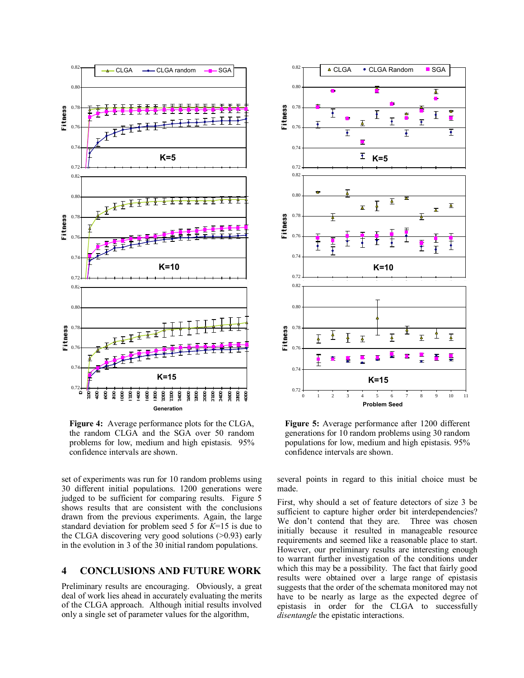

**Figure 4:** Average performance plots for the CLGA, the random CLGA and the SGA over 50 random problems for low, medium and high epistasis. 95% confidence intervals are shown.

set of experiments was run for 10 random problems using 30 different initial populations. 1200 generations were judged to be sufficient for comparing results. Figure 5 shows results that are consistent with the conclusions drawn from the previous experiments. Again, the large standard deviation for problem seed 5 for *K*=15 is due to the CLGA discovering very good solutions (>0.93) early in the evolution in 3 of the 30 initial random populations.

## **4 CONCLUSIONS AND FUTURE WORK**

Preliminary results are encouraging. Obviously, a great deal of work lies ahead in accurately evaluating the merits of the CLGA approach. Although initial results involved only a single set of parameter values for the algorithm,



**Figure 5:** Average performance after 1200 different generations for 10 random problems using 30 random populations for low, medium and high epistasis. 95% confidence intervals are shown.

several points in regard to this initial choice must be made.

First, why should a set of feature detectors of size 3 be sufficient to capture higher order bit interdependencies? We don't contend that they are. Three was chosen initially because it resulted in manageable resource requirements and seemed like a reasonable place to start. However, our preliminary results are interesting enough to warrant further investigation of the conditions under which this may be a possibility. The fact that fairly good results were obtained over a large range of epistasis suggests that the order of the schemata monitored may not have to be nearly as large as the expected degree of epistasis in order for the CLGA to successfully *disentangle* the epistatic interactions.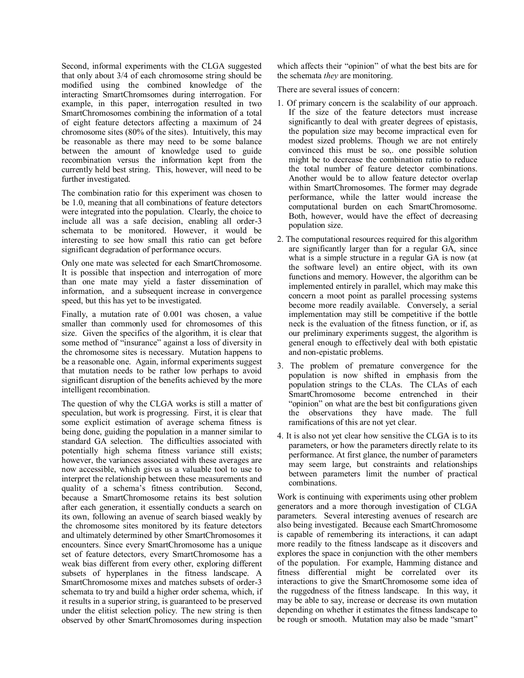Second, informal experiments with the CLGA suggested that only about 3/4 of each chromosome string should be modified using the combined knowledge of the interacting SmartChromsomes during interrogation. For example, in this paper, interrogation resulted in two SmartChromosomes combining the information of a total of eight feature detectors affecting a maximum of 24 chromosome sites (80% of the sites). Intuitively, this may be reasonable as there may need to be some balance between the amount of knowledge used to guide recombination versus the information kept from the currently held best string. This, however, will need to be further investigated.

The combination ratio for this experiment was chosen to be 1.0, meaning that all combinations of feature detectors were integrated into the population. Clearly, the choice to include all was a safe decision, enabling all order-3 schemata to be monitored. However, it would be interesting to see how small this ratio can get before significant degradation of performance occurs.

Only one mate was selected for each SmartChromosome. It is possible that inspection and interrogation of more than one mate may yield a faster dissemination of information, and a subsequent increase in convergence speed, but this has yet to be investigated.

Finally, a mutation rate of 0.001 was chosen, a value smaller than commonly used for chromosomes of this size. Given the specifics of the algorithm, it is clear that some method of "insurance" against a loss of diversity in the chromosome sites is necessary. Mutation happens to be a reasonable one. Again, informal experiments suggest that mutation needs to be rather low perhaps to avoid significant disruption of the benefits achieved by the more intelligent recombination.

The question of why the CLGA works is still a matter of speculation, but work is progressing. First, it is clear that some explicit estimation of average schema fitness is being done, guiding the population in a manner similar to standard GA selection. The difficulties associated with potentially high schema fitness variance still exists; however, the variances associated with these averages are now accessible, which gives us a valuable tool to use to interpret the relationship between these measurements and quality of a schema's fitness contribution. Second, because a SmartChromosome retains its best solution after each generation, it essentially conducts a search on its own, following an avenue of search biased weakly by the chromosome sites monitored by its feature detectors and ultimately determined by other SmartChromosomes it encounters. Since every SmartChromosome has a unique set of feature detectors, every SmartChromosome has a weak bias different from every other, exploring different subsets of hyperplanes in the fitness landscape. A SmartChromosome mixes and matches subsets of order-3 schemata to try and build a higher order schema, which, if it results in a superior string, is guaranteed to be preserved under the elitist selection policy. The new string is then observed by other SmartChromosomes during inspection

which affects their "opinion" of what the best bits are for the schemata *they* are monitoring.

There are several issues of concern:

- 1. Of primary concern is the scalability of our approach. If the size of the feature detectors must increase significantly to deal with greater degrees of epistasis, the population size may become impractical even for modest sized problems. Though we are not entirely convinced this must be so,. one possible solution might be to decrease the combination ratio to reduce the total number of feature detector combinations. Another would be to allow feature detector overlap within SmartChromosomes. The former may degrade performance, while the latter would increase the computational burden on each SmartChromosome. Both, however, would have the effect of decreasing population size.
- 2. The computational resources required for this algorithm are significantly larger than for a regular GA, since what is a simple structure in a regular GA is now (at the software level) an entire object, with its own functions and memory. However, the algorithm can be implemented entirely in parallel, which may make this concern a moot point as parallel processing systems become more readily available. Conversely, a serial implementation may still be competitive if the bottle neck is the evaluation of the fitness function, or if, as our preliminary experiments suggest, the algorithm is general enough to effectively deal with both epistatic and non-epistatic problems.
- 3. The problem of premature convergence for the population is now shifted in emphasis from the population strings to the CLAs. The CLAs of each SmartChromosome become entrenched in their "opinion" on what are the best bit configurations given the observations they have made. The full ramifications of this are not yet clear.
- 4. It is also not yet clear how sensitive the CLGA is to its parameters, or how the parameters directly relate to its performance. At first glance, the number of parameters may seem large, but constraints and relationships between parameters limit the number of practical combinations.

Work is continuing with experiments using other problem generators and a more thorough investigation of CLGA parameters. Several interesting avenues of research are also being investigated. Because each SmartChromosome is capable of remembering its interactions, it can adapt more readily to the fitness landscape as it discovers and explores the space in conjunction with the other members of the population. For example, Hamming distance and fitness differential might be correlated over its interactions to give the SmartChromosome some idea of the ruggedness of the fitness landscape. In this way, it may be able to say, increase or decrease its own mutation depending on whether it estimates the fitness landscape to be rough or smooth. Mutation may also be made "smart"